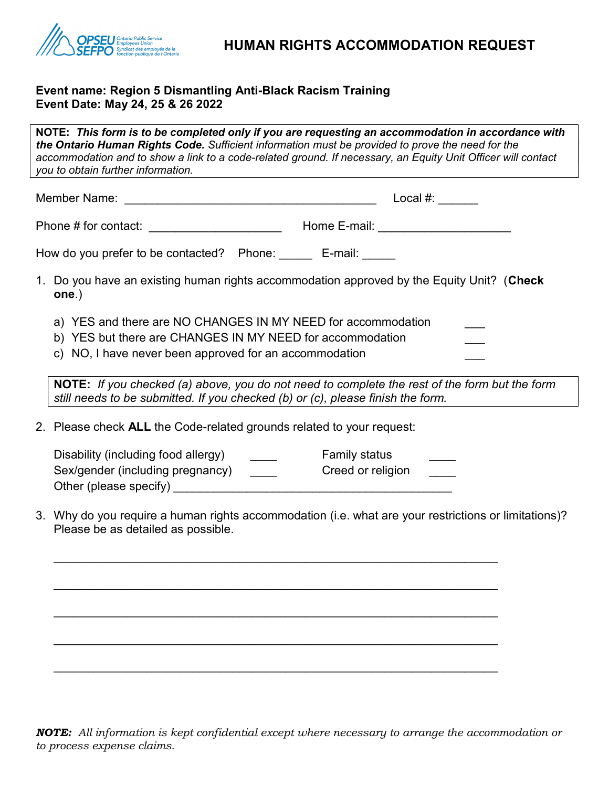

## Event name: Region 5 Dismantling Anti-Black Racism Training Event Date: May 24, 25 & 26 2022

Other (please specify) \_\_\_\_\_\_\_\_\_\_\_\_\_\_\_\_\_\_\_\_\_\_\_\_\_\_\_\_\_\_\_\_\_\_\_\_\_\_\_\_\_\_

NOTE: This form is to be completed only if you are requesting an accommodation in accordance with the Ontario Human Rights Code. Sufficient information must be provided to prove the need for the accommodation and to show a link to a code-related ground. If necessary, an Equity Unit Officer will contact you to obtain further information. Member Name: \_\_\_\_\_\_\_\_\_\_\_\_\_\_\_\_\_\_\_\_\_\_\_\_\_\_\_\_\_\_\_\_\_\_\_\_\_\_ Local #: \_\_\_\_\_\_ Phone # for contact: <br>
Home E-mail: 2011 How do you prefer to be contacted? Phone: E-mail: 1. Do you have an existing human rights accommodation approved by the Equity Unit? (Check one.) a) YES and there are NO CHANGES IN MY NEED for accommodation b) YES but there are CHANGES IN MY NEED for accommodation c) NO, I have never been approved for an accommodation NOTE: If you checked (a) above, you do not need to complete the rest of the form but the form still needs to be submitted. If you checked (b) or (c), please finish the form. 2. Please check ALL the Code-related grounds related to your request: Disability (including food allergy) example Family status Family status Sex/gender (including pregnancy) \_\_\_\_\_\_ Creed or religion

3. Why do you require a human rights accommodation (i.e. what are your restrictions or limitations)? Please be as detailed as possible.

 $\overline{\phantom{a}}$  , and the contribution of the contribution of the contribution of the contribution of the contribution of the contribution of the contribution of the contribution of the contribution of the contribution of the

 $\mathcal{L}_\mathcal{L} = \mathcal{L}_\mathcal{L} = \mathcal{L}_\mathcal{L} = \mathcal{L}_\mathcal{L} = \mathcal{L}_\mathcal{L} = \mathcal{L}_\mathcal{L} = \mathcal{L}_\mathcal{L} = \mathcal{L}_\mathcal{L} = \mathcal{L}_\mathcal{L} = \mathcal{L}_\mathcal{L} = \mathcal{L}_\mathcal{L} = \mathcal{L}_\mathcal{L} = \mathcal{L}_\mathcal{L} = \mathcal{L}_\mathcal{L} = \mathcal{L}_\mathcal{L} = \mathcal{L}_\mathcal{L} = \mathcal{L}_\mathcal{L}$ 

 $\mathcal{L}_\mathcal{L} = \mathcal{L}_\mathcal{L} = \mathcal{L}_\mathcal{L} = \mathcal{L}_\mathcal{L} = \mathcal{L}_\mathcal{L} = \mathcal{L}_\mathcal{L} = \mathcal{L}_\mathcal{L} = \mathcal{L}_\mathcal{L} = \mathcal{L}_\mathcal{L} = \mathcal{L}_\mathcal{L} = \mathcal{L}_\mathcal{L} = \mathcal{L}_\mathcal{L} = \mathcal{L}_\mathcal{L} = \mathcal{L}_\mathcal{L} = \mathcal{L}_\mathcal{L} = \mathcal{L}_\mathcal{L} = \mathcal{L}_\mathcal{L}$ 

 $\overline{\phantom{a}}$  , and the contribution of the contribution of the contribution of the contribution of the contribution of the contribution of the contribution of the contribution of the contribution of the contribution of the

 $\mathcal{L}_\mathcal{L} = \mathcal{L}_\mathcal{L} = \mathcal{L}_\mathcal{L} = \mathcal{L}_\mathcal{L} = \mathcal{L}_\mathcal{L} = \mathcal{L}_\mathcal{L} = \mathcal{L}_\mathcal{L} = \mathcal{L}_\mathcal{L} = \mathcal{L}_\mathcal{L} = \mathcal{L}_\mathcal{L} = \mathcal{L}_\mathcal{L} = \mathcal{L}_\mathcal{L} = \mathcal{L}_\mathcal{L} = \mathcal{L}_\mathcal{L} = \mathcal{L}_\mathcal{L} = \mathcal{L}_\mathcal{L} = \mathcal{L}_\mathcal{L}$ 

NOTE: All information is kept confidential except where necessary to arrange the accommodation or to process expense claims.